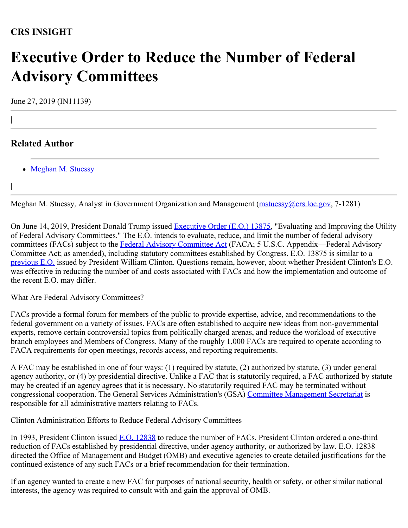## **CRS INSIGHT**

## **Executive Order to Reduce the Number of Federal Advisory Committees**

June 27, 2019 (IN11139)

## **Related Author**

|

|

• [Meghan M. Stuessy](https://www.crs.gov/Author/index?id=105028)

Meghan M. Stuessy, Analyst in Government Organization and Management ([mstuessy@crs.loc.gov](mailto:mstuessy@crs.loc.gov), 7-1281)

On June 14, 2019, President Donald Trump issued [Executive Order \(E.O.\) 13875](https://www.federalregister.gov/documents/2019/06/19/2019-13175/evaluating-and-improving-the-utility-of-federal-advisory-committees), "Evaluating and Improving the Utility of Federal Advisory Committees." The E.O. intends to evaluate, reduce, and limit the number of federal advisory committees (FACs) subject to the [Federal Advisory Committee Act](http://uscode.house.gov/view.xhtml?path=/prelim@title5/title5a/node2&edition=prelim) (FACA; 5 U.S.C. Appendix—Federal Advisory Committee Act; as amended), including statutory committees established by Congress. E.O. 13875 is similar to a [previous E.O.](https://www.govinfo.gov/content/pkg/WCPD-1993-02-15/pdf/WCPD-1993-02-15-Pg166.pdf) issued by President William Clinton. Questions remain, however, about whether President Clinton's E.O. was effective in reducing the number of and costs associated with FACs and how the implementation and outcome of the recent E.O. may differ.

What Are Federal Advisory Committees?

FACs provide a formal forum for members of the public to provide expertise, advice, and recommendations to the federal government on a variety of issues. FACs are often established to acquire new ideas from non-governmental experts, remove certain controversial topics from politically charged arenas, and reduce the workload of executive branch employees and Members of Congress. Many of the roughly 1,000 FACs are required to operate according to FACA requirements for open meetings, records access, and reporting requirements.

A FAC may be established in one of four ways: (1) required by statute, (2) authorized by statute, (3) under general agency authority, or (4) by presidential directive. Unlike a FAC that is statutorily required, a FAC authorized by statute may be created if an agency agrees that it is necessary. No statutorily required FAC may be terminated without congressional cooperation. The General Services Administration's (GSA) [Committee Management Secretariat](https://www.gsa.gov/about-us/organization/office-of-governmentwide-policy/office-of-asset-and-transportation-management/committee-management-secretariat) is responsible for all administrative matters relating to FACs.

Clinton Administration Efforts to Reduce Federal Advisory Committees

In 1993, President Clinton issued [E.O. 12838](https://www.govinfo.gov/content/pkg/WCPD-1993-02-15/pdf/WCPD-1993-02-15-Pg166.pdf) to reduce the number of FACs. President Clinton ordered a one-third reduction of FACs established by presidential directive, under agency authority, or authorized by law. E.O. 12838 directed the Office of Management and Budget (OMB) and executive agencies to create detailed justifications for the continued existence of any such FACs or a brief recommendation for their termination.

If an agency wanted to create a new FAC for purposes of national security, health or safety, or other similar national interests, the agency was required to consult with and gain the approval of OMB.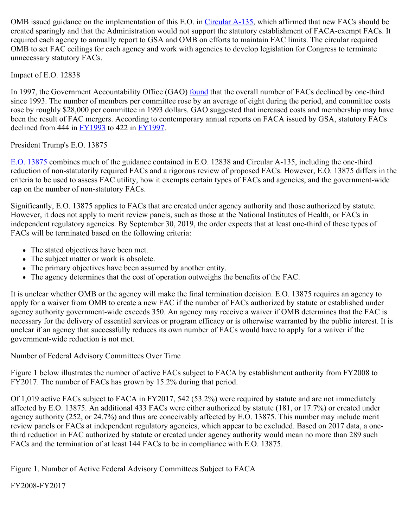OMB issued guidance on the implementation of this E.O. in [Circular A-135](https://www.whitehouse.gov/wp-content/uploads/2017/11/Circular-A-135.pdf), which affirmed that new FACs should be created sparingly and that the Administration would not support the statutory establishment of FACA-exempt FACs. It required each agency to annually report to GSA and OMB on efforts to maintain FAC limits. The circular required OMB to set FAC ceilings for each agency and work with agencies to develop legislation for Congress to terminate unnecessary statutory FACs.

Impact of E.O. 12838

In 1997, the Government Accountability Office (GAO) [found](https://www.gao.gov/assets/110/107157.pdf) that the overall number of FACs declined by one-third since 1993. The number of members per committee rose by an average of eight during the period, and committee costs rose by roughly \$28,000 per committee in 1993 dollars. GAO suggested that increased costs and membership may have been the result of FAC mergers. According to contemporary annual reports on FACA issued by GSA, statutory FACs declined from 444 in  $\underline{FY1993}$  to 422 in  $\underline{FY1997}$ .

President Trump's E.O. 13875

[E.O. 13875](https://www.federalregister.gov/documents/2019/06/19/2019-13175/evaluating-and-improving-the-utility-of-federal-advisory-committees) combines much of the guidance contained in E.O. 12838 and Circular A-135, including the one-third reduction of non-statutorily required FACs and a rigorous review of proposed FACs. However, E.O. 13875 differs in the criteria to be used to assess FAC utility, how it exempts certain types of FACs and agencies, and the government-wide cap on the number of non-statutory FACs.

Significantly, E.O. 13875 applies to FACs that are created under agency authority and those authorized by statute. However, it does not apply to merit review panels, such as those at the National Institutes of Health, or FACs in independent regulatory agencies. By September 30, 2019, the order expects that at least one-third of these types of FACs will be terminated based on the following criteria:

- The stated objectives have been met.
- The subject matter or work is obsolete.
- The primary objectives have been assumed by another entity.
- The agency determines that the cost of operation outweighs the benefits of the FAC.

It is unclear whether OMB or the agency will make the final termination decision. E.O. 13875 requires an agency to apply for a waiver from OMB to create a new FAC if the number of FACs authorized by statute or established under agency authority government-wide exceeds 350. An agency may receive a waiver if OMB determines that the FAC is necessary for the delivery of essential services or program efficacy or is otherwise warranted by the public interest. It is unclear if an agency that successfully reduces its own number of FACs would have to apply for a waiver if the government-wide reduction is not met.

Number of Federal Advisory Committees Over Time

Figure 1 below illustrates the number of active FACs subject to FACA by establishment authority from FY2008 to FY2017. The number of FACs has grown by 15.2% during that period.

Of 1,019 active FACs subject to FACA in FY2017, 542 (53.2%) were required by statute and are not immediately affected by E.O. 13875. An additional 433 FACs were either authorized by statute (181, or 17.7%) or created under agency authority (252, or 24.7%) and thus are conceivably affected by E.O. 13875. This number may include merit review panels or FACs at independent regulatory agencies, which appear to be excluded. Based on 2017 data, a onethird reduction in FAC authorized by statute or created under agency authority would mean no more than 289 such FACs and the termination of at least 144 FACs to be in compliance with E.O. 13875.

Figure 1. Number of Active Federal Advisory Committees Subject to FACA

FY2008-FY2017